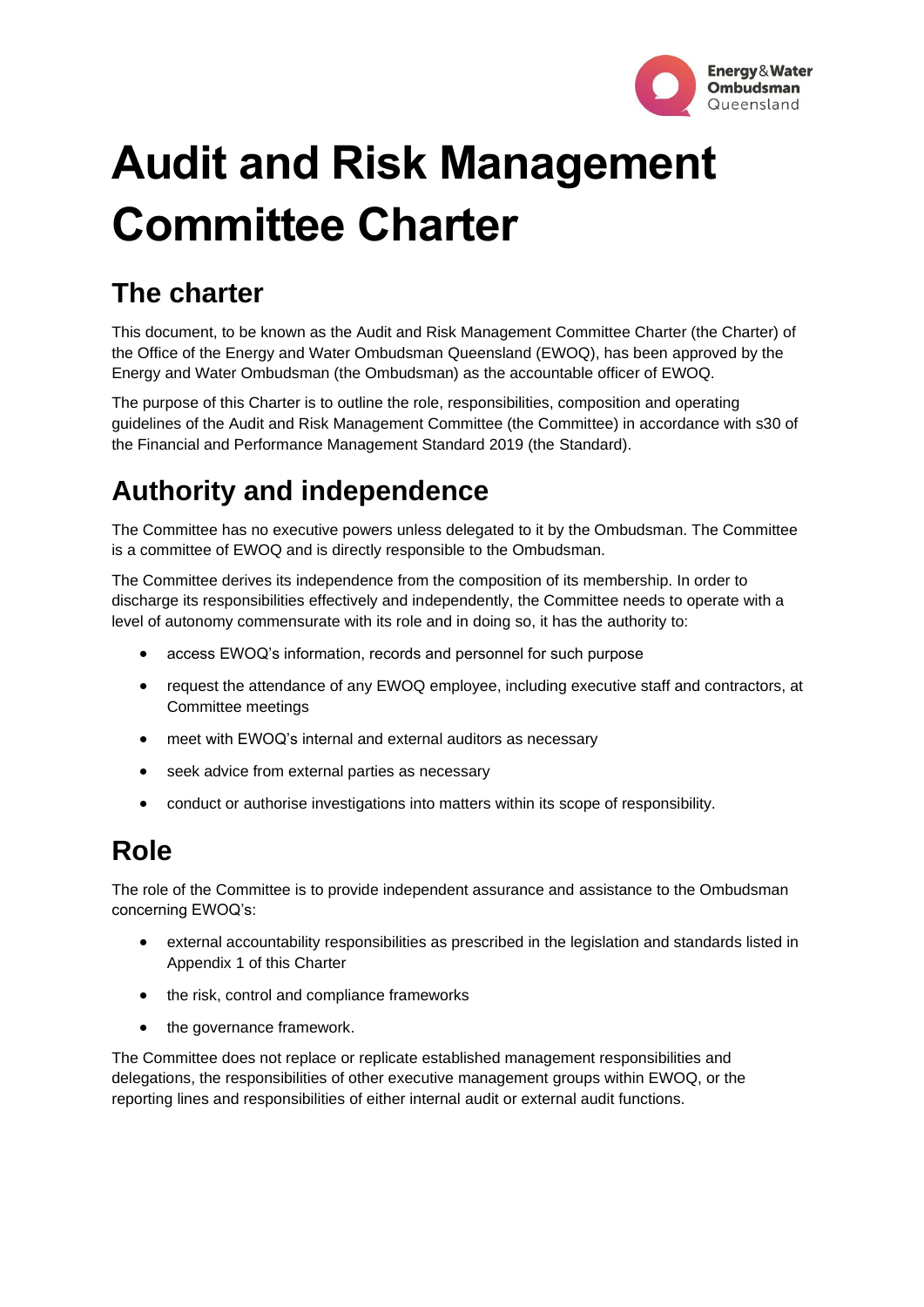

# **Audit and Risk Management Committee Charter**

# **The charter**

This document, to be known as the Audit and Risk Management Committee Charter (the Charter) of the Office of the Energy and Water Ombudsman Queensland (EWOQ), has been approved by the Energy and Water Ombudsman (the Ombudsman) as the accountable officer of EWOQ.

The purpose of this Charter is to outline the role, responsibilities, composition and operating guidelines of the Audit and Risk Management Committee (the Committee) in accordance with s30 of the Financial and Performance Management Standard 2019 (the Standard).

# **Authority and independence**

The Committee has no executive powers unless delegated to it by the Ombudsman. The Committee is a committee of EWOQ and is directly responsible to the Ombudsman.

The Committee derives its independence from the composition of its membership. In order to discharge its responsibilities effectively and independently, the Committee needs to operate with a level of autonomy commensurate with its role and in doing so, it has the authority to:

- access EWOQ's information, records and personnel for such purpose
- request the attendance of any EWOQ employee, including executive staff and contractors, at Committee meetings
- meet with EWOQ's internal and external auditors as necessary
- seek advice from external parties as necessary
- conduct or authorise investigations into matters within its scope of responsibility.

# **Role**

The role of the Committee is to provide independent assurance and assistance to the Ombudsman concerning EWOQ's:

- external accountability responsibilities as prescribed in the legislation and standards listed in Appendix 1 of this Charter
- the risk, control and compliance frameworks
- the governance framework.

The Committee does not replace or replicate established management responsibilities and delegations, the responsibilities of other executive management groups within EWOQ, or the reporting lines and responsibilities of either internal audit or external audit functions.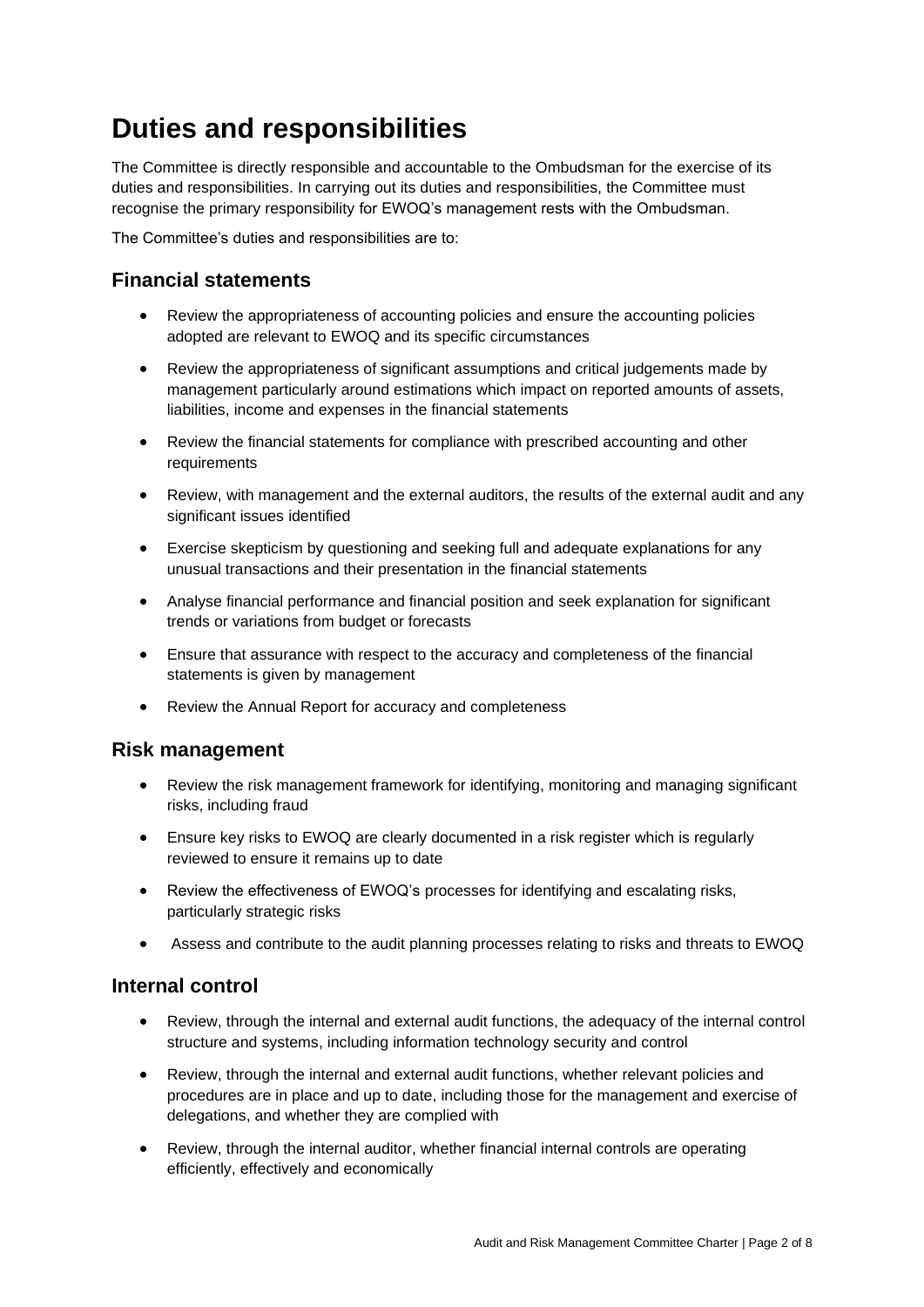# **Duties and responsibilities**

The Committee is directly responsible and accountable to the Ombudsman for the exercise of its duties and responsibilities. In carrying out its duties and responsibilities, the Committee must recognise the primary responsibility for EWOQ's management rests with the Ombudsman.

The Committee's duties and responsibilities are to:

#### **Financial statements**

- Review the appropriateness of accounting policies and ensure the accounting policies adopted are relevant to EWOQ and its specific circumstances
- Review the appropriateness of significant assumptions and critical judgements made by management particularly around estimations which impact on reported amounts of assets, liabilities, income and expenses in the financial statements
- Review the financial statements for compliance with prescribed accounting and other requirements
- Review, with management and the external auditors, the results of the external audit and any significant issues identified
- Exercise skepticism by questioning and seeking full and adequate explanations for any unusual transactions and their presentation in the financial statements
- Analyse financial performance and financial position and seek explanation for significant trends or variations from budget or forecasts
- Ensure that assurance with respect to the accuracy and completeness of the financial statements is given by management
- Review the Annual Report for accuracy and completeness

#### **Risk management**

- Review the risk management framework for identifying, monitoring and managing significant risks, including fraud
- Ensure key risks to EWOQ are clearly documented in a risk register which is regularly reviewed to ensure it remains up to date
- Review the effectiveness of EWOQ's processes for identifying and escalating risks, particularly strategic risks
- Assess and contribute to the audit planning processes relating to risks and threats to EWOQ

#### **Internal control**

- Review, through the internal and external audit functions, the adequacy of the internal control structure and systems, including information technology security and control
- Review, through the internal and external audit functions, whether relevant policies and procedures are in place and up to date, including those for the management and exercise of delegations, and whether they are complied with
- Review, through the internal auditor, whether financial internal controls are operating efficiently, effectively and economically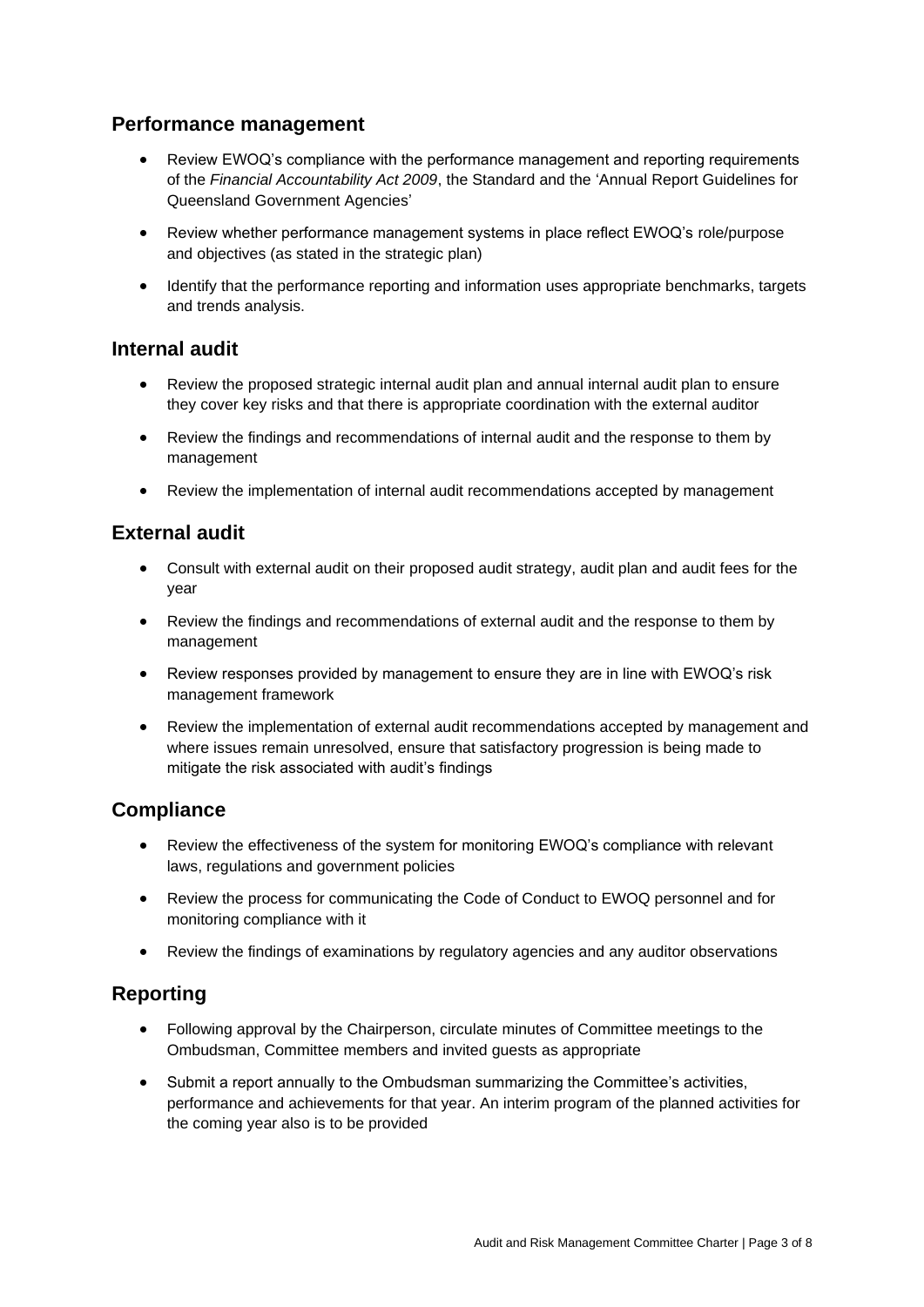#### **Performance management**

- Review EWOQ's compliance with the performance management and reporting requirements of the *Financial Accountability Act 2009*, the Standard and the 'Annual Report Guidelines for Queensland Government Agencies'
- Review whether performance management systems in place reflect EWOQ's role/purpose and objectives (as stated in the strategic plan)
- Identify that the performance reporting and information uses appropriate benchmarks, targets and trends analysis.

#### **Internal audit**

- Review the proposed strategic internal audit plan and annual internal audit plan to ensure they cover key risks and that there is appropriate coordination with the external auditor
- Review the findings and recommendations of internal audit and the response to them by management
- Review the implementation of internal audit recommendations accepted by management

#### **External audit**

- Consult with external audit on their proposed audit strategy, audit plan and audit fees for the year
- Review the findings and recommendations of external audit and the response to them by management
- Review responses provided by management to ensure they are in line with EWOQ's risk management framework
- Review the implementation of external audit recommendations accepted by management and where issues remain unresolved, ensure that satisfactory progression is being made to mitigate the risk associated with audit's findings

#### **Compliance**

- Review the effectiveness of the system for monitoring EWOQ's compliance with relevant laws, regulations and government policies
- Review the process for communicating the Code of Conduct to EWOQ personnel and for monitoring compliance with it
- Review the findings of examinations by regulatory agencies and any auditor observations

#### **Reporting**

- Following approval by the Chairperson, circulate minutes of Committee meetings to the Ombudsman, Committee members and invited guests as appropriate
- Submit a report annually to the Ombudsman summarizing the Committee's activities, performance and achievements for that year. An interim program of the planned activities for the coming year also is to be provided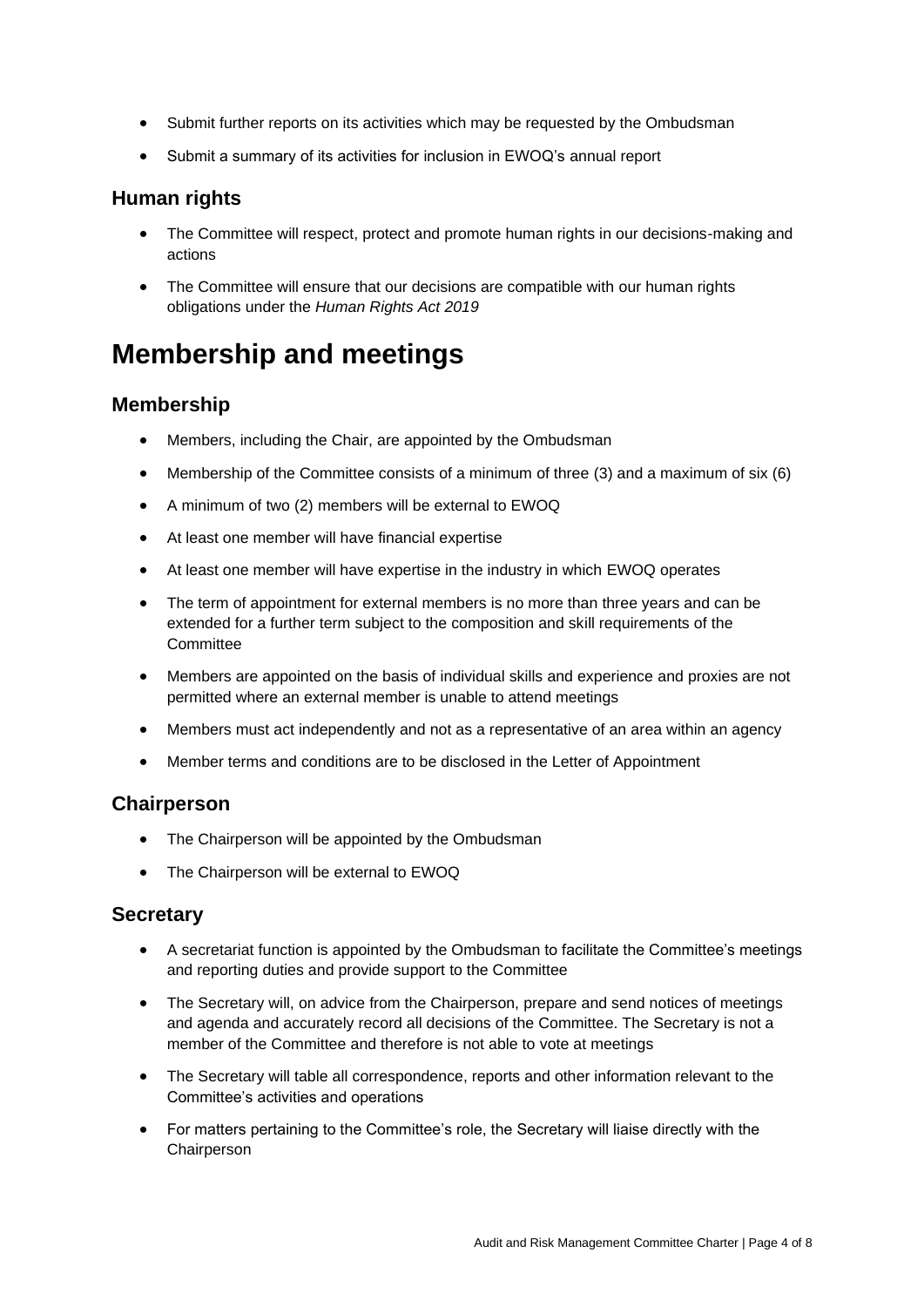- Submit further reports on its activities which may be requested by the Ombudsman
- Submit a summary of its activities for inclusion in EWOQ's annual report

#### **Human rights**

- The Committee will respect, protect and promote human rights in our decisions-making and actions
- The Committee will ensure that our decisions are compatible with our human rights obligations under the *Human Rights Act 2019*

## **Membership and meetings**

#### **Membership**

- Members, including the Chair, are appointed by the Ombudsman
- Membership of the Committee consists of a minimum of three (3) and a maximum of six (6)
- A minimum of two (2) members will be external to EWOQ
- At least one member will have financial expertise
- At least one member will have expertise in the industry in which EWOQ operates
- The term of appointment for external members is no more than three years and can be extended for a further term subject to the composition and skill requirements of the **Committee**
- Members are appointed on the basis of individual skills and experience and proxies are not permitted where an external member is unable to attend meetings
- Members must act independently and not as a representative of an area within an agency
- Member terms and conditions are to be disclosed in the Letter of Appointment

#### **Chairperson**

- The Chairperson will be appointed by the Ombudsman
- The Chairperson will be external to EWOQ

#### **Secretary**

- A secretariat function is appointed by the Ombudsman to facilitate the Committee's meetings and reporting duties and provide support to the Committee
- The Secretary will, on advice from the Chairperson, prepare and send notices of meetings and agenda and accurately record all decisions of the Committee. The Secretary is not a member of the Committee and therefore is not able to vote at meetings
- The Secretary will table all correspondence, reports and other information relevant to the Committee's activities and operations
- For matters pertaining to the Committee's role, the Secretary will liaise directly with the **Chairperson**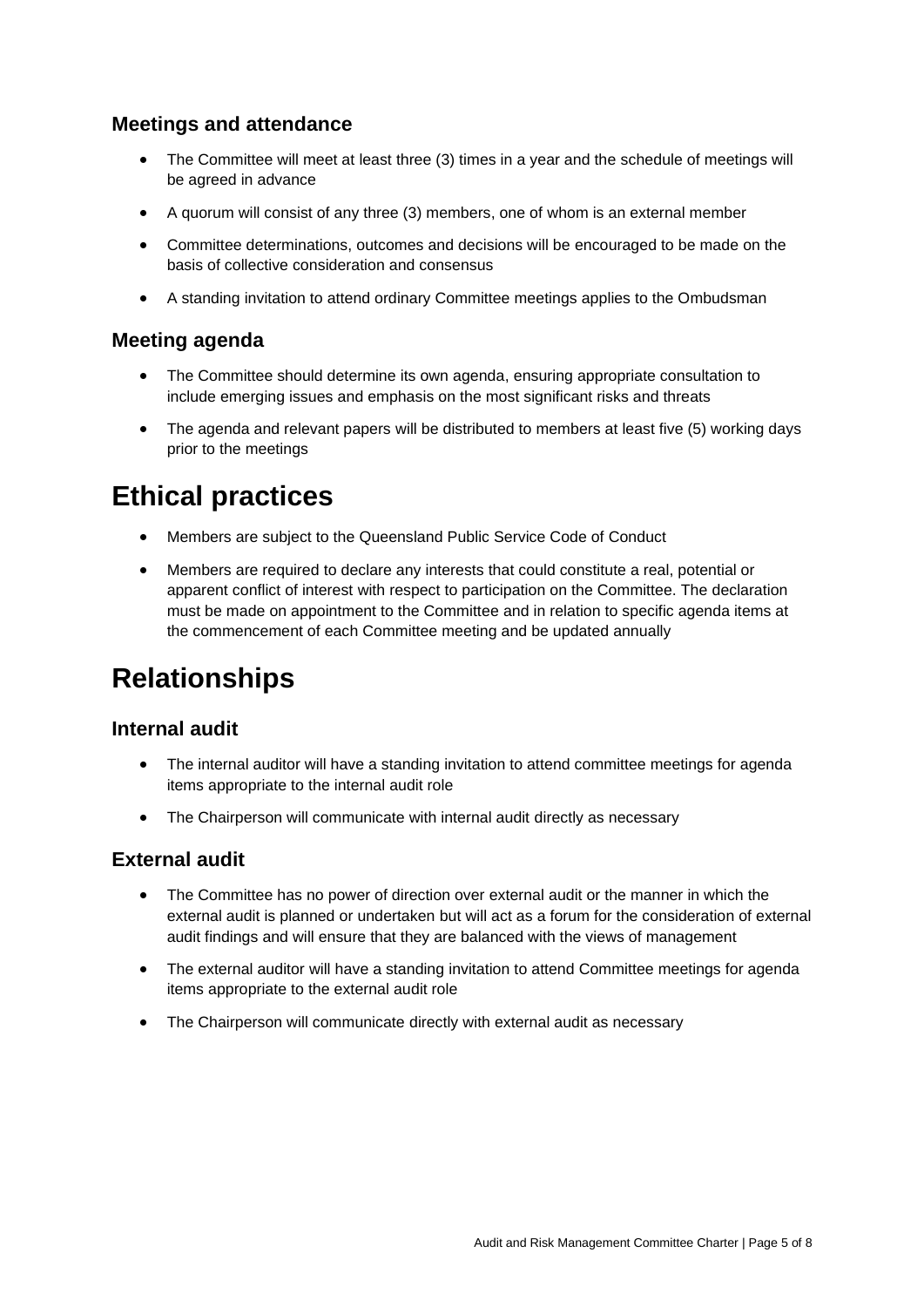#### **Meetings and attendance**

- The Committee will meet at least three (3) times in a year and the schedule of meetings will be agreed in advance
- A quorum will consist of any three (3) members, one of whom is an external member
- Committee determinations, outcomes and decisions will be encouraged to be made on the basis of collective consideration and consensus
- A standing invitation to attend ordinary Committee meetings applies to the Ombudsman

#### **Meeting agenda**

- The Committee should determine its own agenda, ensuring appropriate consultation to include emerging issues and emphasis on the most significant risks and threats
- The agenda and relevant papers will be distributed to members at least five (5) working days prior to the meetings

## **Ethical practices**

- Members are subject to the Queensland Public Service Code of Conduct
- Members are required to declare any interests that could constitute a real, potential or apparent conflict of interest with respect to participation on the Committee. The declaration must be made on appointment to the Committee and in relation to specific agenda items at the commencement of each Committee meeting and be updated annually

### **Relationships**

#### **Internal audit**

- The internal auditor will have a standing invitation to attend committee meetings for agenda items appropriate to the internal audit role
- The Chairperson will communicate with internal audit directly as necessary

#### **External audit**

- The Committee has no power of direction over external audit or the manner in which the external audit is planned or undertaken but will act as a forum for the consideration of external audit findings and will ensure that they are balanced with the views of management
- The external auditor will have a standing invitation to attend Committee meetings for agenda items appropriate to the external audit role
- The Chairperson will communicate directly with external audit as necessary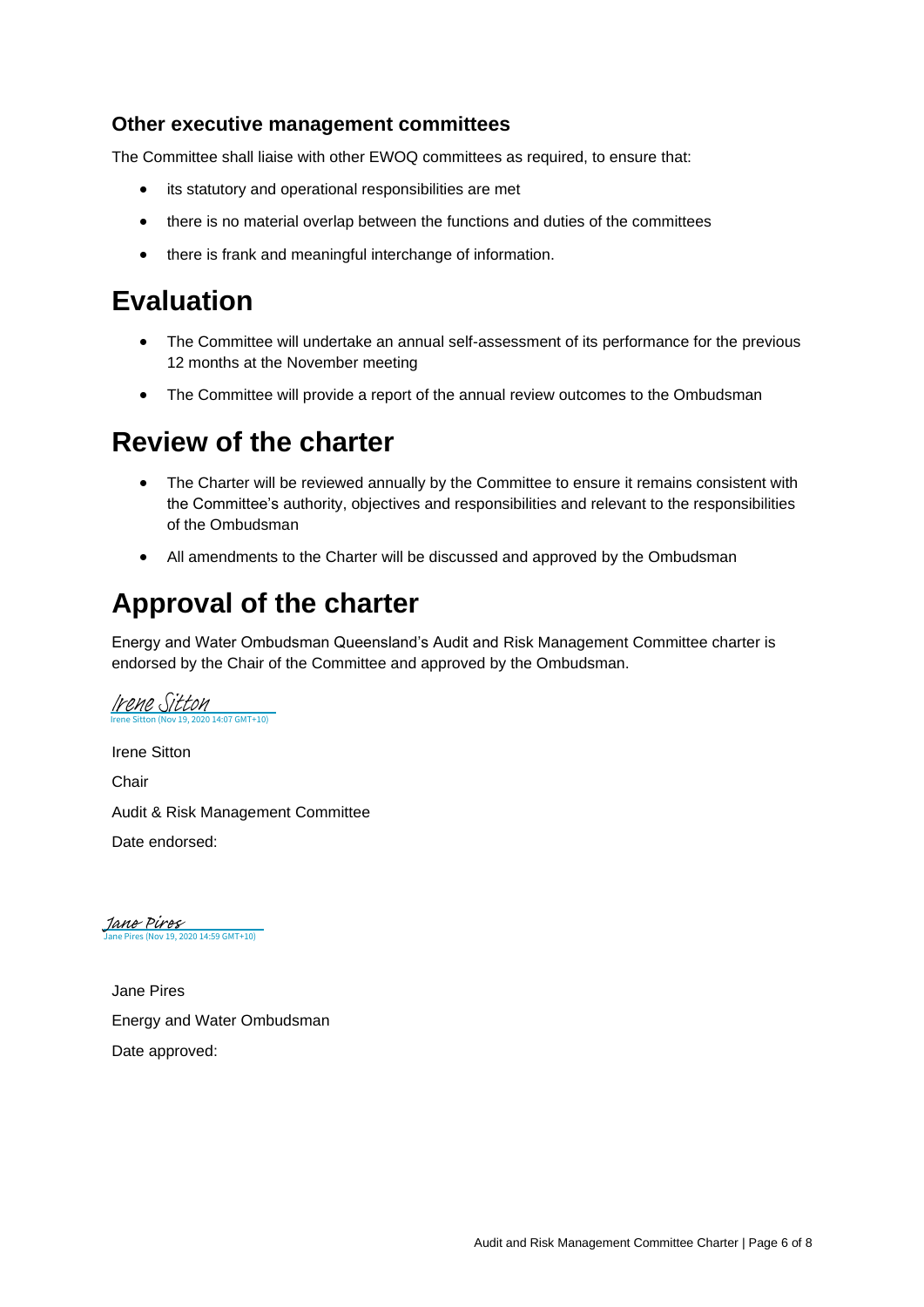#### **Other executive management committees**

The Committee shall liaise with other EWOQ committees as required, to ensure that:

- its statutory and operational responsibilities are met
- there is no material overlap between the functions and duties of the committees
- there is frank and meaningful interchange of information.

### **Evaluation**

- The Committee will undertake an annual self-assessment of its performance for the previous 12 months at the November meeting
- The Committee will provide a report of the annual review outcomes to the Ombudsman

### **Review of the charter**

- The Charter will be reviewed annually by the Committee to ensure it remains consistent with the Committee's authority, objectives and responsibilities and relevant to the responsibilities of the Ombudsman
- All amendments to the Charter will be discussed and approved by the Ombudsman

### **Approval of the charter**

Energy and Water Ombudsman Queensland's Audit and Risk Management Committee charter is endorsed by the Chair of the Committee and approved by the Ombudsman.

Irene Sitton **Chair** Audit & Risk Management Committee Date endorsed: Irene Sitton (Nov 19, 2020 14:07 GMT+10) [Irene Sitton](https://au1.documents.adobe.com/verifier?tx=CBJCHBCAABAAdRjWS6W8VndI149rtr79nVv2iPDYbRU9)

Jane Pires<br>[Jane Pires \(Nov 19, 2020 14:59 GMT+10\)](https://au1.documents.adobe.com/verifier?tx=CBJCHBCAABAAdRjWS6W8VndI149rtr79nVv2iPDYbRU9)

Jane Pires Energy and Water Ombudsman Date approved: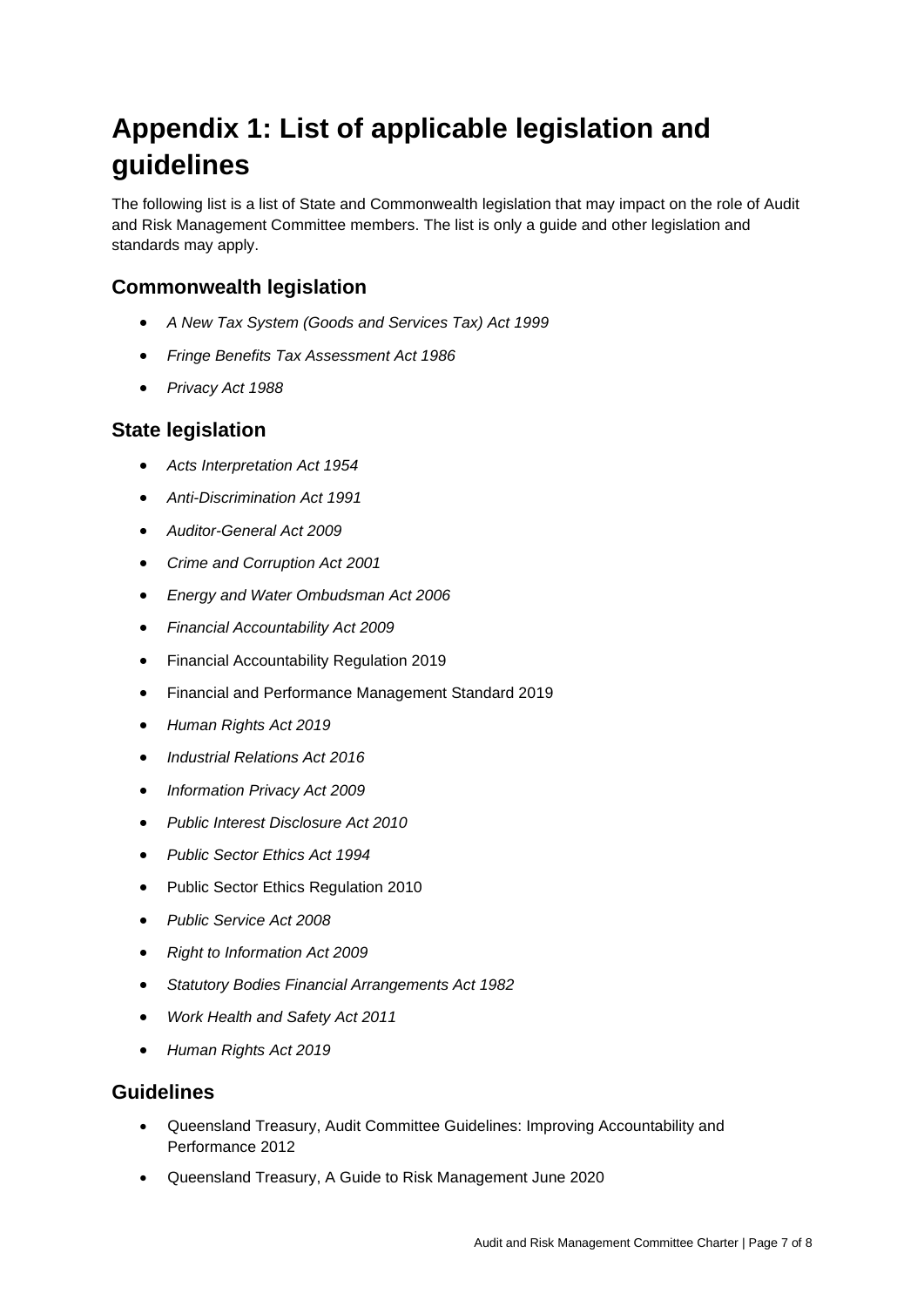# **Appendix 1: List of applicable legislation and guidelines**

The following list is a list of State and Commonwealth legislation that may impact on the role of Audit and Risk Management Committee members. The list is only a guide and other legislation and standards may apply.

#### **Commonwealth legislation**

- *A New Tax System (Goods and Services Tax) Act 1999*
- *Fringe Benefits Tax Assessment Act 1986*
- *Privacy Act 1988*

#### **State legislation**

- *Acts Interpretation Act 1954*
- *Anti-Discrimination Act 1991*
- *Auditor-General Act 2009*
- *Crime and Corruption Act 2001*
- *Energy and Water Ombudsman Act 2006*
- *Financial Accountability Act 2009*
- Financial Accountability Regulation 2019
- Financial and Performance Management Standard 2019
- *Human Rights Act 2019*
- *Industrial Relations Act 2016*
- *Information Privacy Act 2009*
- *Public Interest Disclosure Act 2010*
- *Public Sector Ethics Act 1994*
- Public Sector Ethics Regulation 2010
- *Public Service Act 2008*
- *Right to Information Act 2009*
- *Statutory Bodies Financial Arrangements Act 1982*
- *Work Health and Safety Act 2011*
- *Human Rights Act 2019*

#### **Guidelines**

- Queensland Treasury, Audit Committee Guidelines: Improving Accountability and Performance 2012
- Queensland Treasury, A Guide to Risk Management June 2020